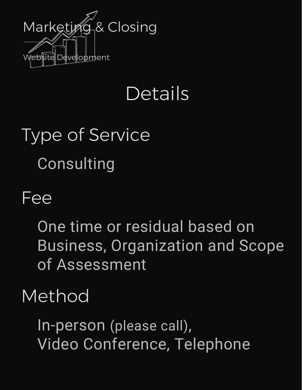

## Details

# Type of Service Consulting

#### Fee

One time or residual based on Business, Organization and Scope of Assessment

#### Method

In-person (please call), Video Conference, Telephone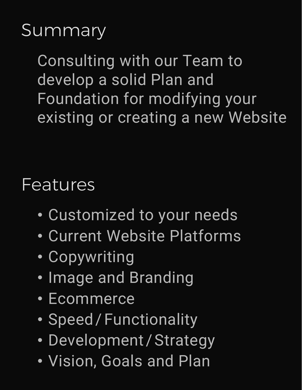## Summary

Consulting with our Team to develop a solid Plan and Foundation for modifying your existing or creating a new Website

#### Features

- Customized to your needs
- Current Website Platforms
- Copywriting
- Image and Branding
- Ecommerce
- Speed/Functionality
- Development / Strategy
- Vision, Goals and Plan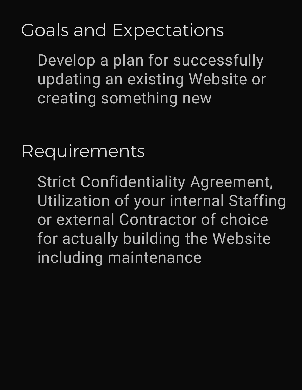## Goals and Expectations

Develop a plan for successfully updating an existing Website or creating something new

Requirements

Strict Confidentiality Agreement, Utilization of your internal Staffing or external Contractor of choice for actually building the Website including maintenance